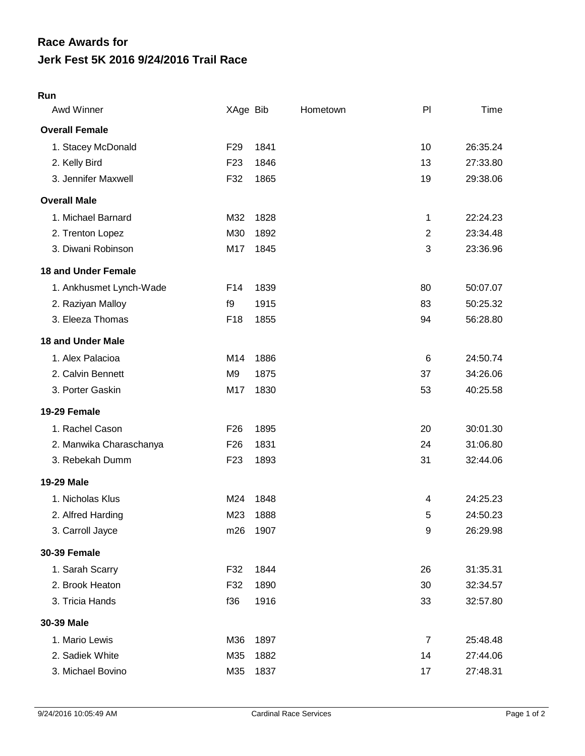# **Jerk Fest 5K 2016 9/24/2016 Trail Race Race Awards for**

# **Run**

| Awd Winner                 | XAge Bib        |      | Hometown | PI             | Time     |
|----------------------------|-----------------|------|----------|----------------|----------|
| <b>Overall Female</b>      |                 |      |          |                |          |
| 1. Stacey McDonald         | F <sub>29</sub> | 1841 |          | 10             | 26:35.24 |
| 2. Kelly Bird              | F <sub>23</sub> | 1846 |          | 13             | 27:33.80 |
| 3. Jennifer Maxwell        | F32             | 1865 |          | 19             | 29:38.06 |
| <b>Overall Male</b>        |                 |      |          |                |          |
| 1. Michael Barnard         | M32             | 1828 |          | 1              | 22:24.23 |
| 2. Trenton Lopez           | M30             | 1892 |          | $\overline{2}$ | 23:34.48 |
| 3. Diwani Robinson         | M17             | 1845 |          | 3              | 23:36.96 |
| <b>18 and Under Female</b> |                 |      |          |                |          |
| 1. Ankhusmet Lynch-Wade    | F14             | 1839 |          | 80             | 50:07.07 |
| 2. Raziyan Malloy          | f9              | 1915 |          | 83             | 50:25.32 |
| 3. Eleeza Thomas           | F18             | 1855 |          | 94             | 56:28.80 |
| <b>18 and Under Male</b>   |                 |      |          |                |          |
| 1. Alex Palacioa           | M14             | 1886 |          | 6              | 24:50.74 |
| 2. Calvin Bennett          | M <sub>9</sub>  | 1875 |          | 37             | 34:26.06 |
| 3. Porter Gaskin           | M17             | 1830 |          | 53             | 40:25.58 |
| 19-29 Female               |                 |      |          |                |          |
| 1. Rachel Cason            | F <sub>26</sub> | 1895 |          | 20             | 30:01.30 |
| 2. Manwika Charaschanya    | F <sub>26</sub> | 1831 |          | 24             | 31:06.80 |
| 3. Rebekah Dumm            | F <sub>23</sub> | 1893 |          | 31             | 32:44.06 |
| 19-29 Male                 |                 |      |          |                |          |
| 1. Nicholas Klus           | M24             | 1848 |          | 4              | 24:25.23 |
| 2. Alfred Harding          | M23             | 1888 |          | 5              | 24:50.23 |
| 3. Carroll Jayce           | m26             | 1907 |          | 9              | 26:29.98 |
| <b>30-39 Female</b>        |                 |      |          |                |          |
| 1. Sarah Scarry            | F32             | 1844 |          | 26             | 31:35.31 |
| 2. Brook Heaton            | F32             | 1890 |          | 30             | 32:34.57 |
| 3. Tricia Hands            | f36             | 1916 |          | 33             | 32:57.80 |
| 30-39 Male                 |                 |      |          |                |          |
| 1. Mario Lewis             | M36             | 1897 |          | $\overline{7}$ | 25:48.48 |
| 2. Sadiek White            | M35             | 1882 |          | 14             | 27:44.06 |
| 3. Michael Bovino          | M35             | 1837 |          | 17             | 27:48.31 |